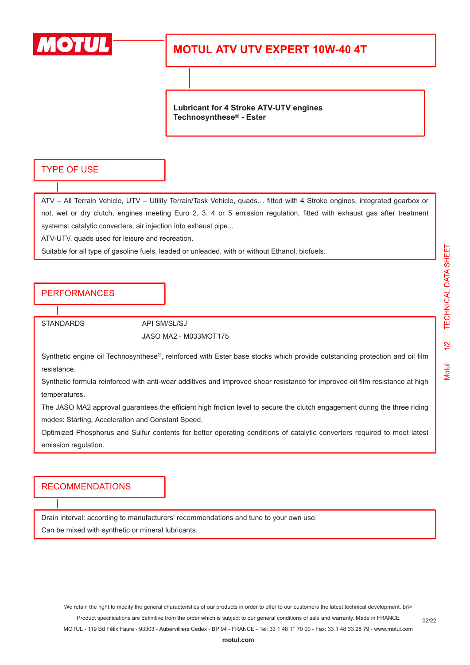

## **MOTUL ATV UTV EXPERT 10W-40 4T**

**Lubricant for 4 Stroke ATV-UTV engines Technosynthese® - Ester**

#### TYPE OF USE

ATV – All Terrain Vehicle, UTV – Utility Terrain/Task Vehicle, quads… fitted with 4 Stroke engines, integrated gearbox or not, wet or dry clutch, engines meeting Euro 2, 3, 4 or 5 emission regulation, fitted with exhaust gas after treatment systems: catalytic converters, air injection into exhaust pipe...

ATV-UTV, quads used for leisure and recreation.

Suitable for all type of gasoline fuels, leaded or unleaded, with or without Ethanol, biofuels.

#### PERFORMANCES

STANDARDS API SM/SL/SJ

JASO MA2 - M033MOT175

Synthetic engine oil Technosynthese®, reinforced with Ester base stocks which provide outstanding protection and oil film resistance.

Synthetic formula reinforced with anti-wear additives and improved shear resistance for improved oil film resistance at high temperatures.

The JASO MA2 approval guarantees the efficient high friction level to secure the clutch engagement during the three riding modes: Starting, Acceleration and Constant Speed.

Optimized Phosphorus and Sulfur contents for better operating conditions of catalytic converters required to meet latest emission regulation.

#### RECOMMENDATIONS

Drain interval: according to manufacturers' recommendations and tune to your own use.

Can be mixed with synthetic or mineral lubricants.

We retain the right to modify the general characteristics of our products in order to offer to our customers the latest technical development. br\> Product specifications are definitive from the order which is subject to our general conditions of sale and warranty. Made in FRANCE

MOTUL - 119 Bd Félix Faure - 93303 - Aubervilliers Cedex - BP 94 - FRANCE - Tel: 33 1 48 11 70 00 - Fax: 33 1 48 33 28 79 - www.motul.com

02/22